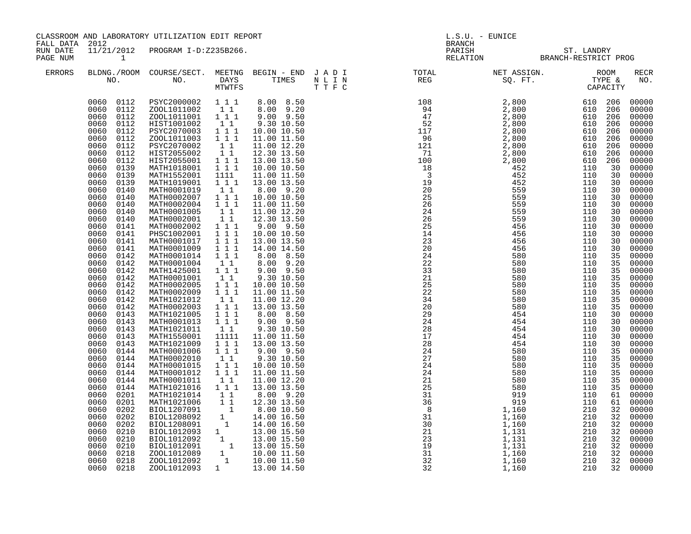|                                        |                                                                                                                                                                                                                                                                                                                                                                                                                                                                                                                                                                                                                                                                                                                                                                                                                  | CLASSROOM AND LABORATORY UTILIZATION EDIT REPORT                                                                                                                                                                                                                                                                                                                                                                                                                                                                                                                                                                                                                                                                                                                                                                                                                                                                                                  |                                                                                                                                                                                                                                                                                                                                                                                                                                                                                                                                                 |                                                                                                                                                                                                                                                                                                                                                                                                                                                                                                                                                                                                          | L.S.U. - EUNICE<br><b>BRANCH</b>                                                                                                                                                                                                                                                                                                                                                                                                               |                                                    |  |  |                                                                                                                                                                                                                                                                                                                                                                                                                                                                         |  |
|----------------------------------------|------------------------------------------------------------------------------------------------------------------------------------------------------------------------------------------------------------------------------------------------------------------------------------------------------------------------------------------------------------------------------------------------------------------------------------------------------------------------------------------------------------------------------------------------------------------------------------------------------------------------------------------------------------------------------------------------------------------------------------------------------------------------------------------------------------------|---------------------------------------------------------------------------------------------------------------------------------------------------------------------------------------------------------------------------------------------------------------------------------------------------------------------------------------------------------------------------------------------------------------------------------------------------------------------------------------------------------------------------------------------------------------------------------------------------------------------------------------------------------------------------------------------------------------------------------------------------------------------------------------------------------------------------------------------------------------------------------------------------------------------------------------------------|-------------------------------------------------------------------------------------------------------------------------------------------------------------------------------------------------------------------------------------------------------------------------------------------------------------------------------------------------------------------------------------------------------------------------------------------------------------------------------------------------------------------------------------------------|----------------------------------------------------------------------------------------------------------------------------------------------------------------------------------------------------------------------------------------------------------------------------------------------------------------------------------------------------------------------------------------------------------------------------------------------------------------------------------------------------------------------------------------------------------------------------------------------------------|------------------------------------------------------------------------------------------------------------------------------------------------------------------------------------------------------------------------------------------------------------------------------------------------------------------------------------------------------------------------------------------------------------------------------------------------|----------------------------------------------------|--|--|-------------------------------------------------------------------------------------------------------------------------------------------------------------------------------------------------------------------------------------------------------------------------------------------------------------------------------------------------------------------------------------------------------------------------------------------------------------------------|--|
| FALL DATA 2012<br>RUN DATE<br>PAGE NUM | 1                                                                                                                                                                                                                                                                                                                                                                                                                                                                                                                                                                                                                                                                                                                                                                                                                | 11/21/2012 PROGRAM I-D:Z235B266.                                                                                                                                                                                                                                                                                                                                                                                                                                                                                                                                                                                                                                                                                                                                                                                                                                                                                                                  |                                                                                                                                                                                                                                                                                                                                                                                                                                                                                                                                                 |                                                                                                                                                                                                                                                                                                                                                                                                                                                                                                                                                                                                          |                                                                                                                                                                                                                                                                                                                                                                                                                                                | PARISH ST. LANDRY<br>RELATION BRANCH-RESTRICT PROG |  |  |                                                                                                                                                                                                                                                                                                                                                                                                                                                                         |  |
| ERRORS                                 |                                                                                                                                                                                                                                                                                                                                                                                                                                                                                                                                                                                                                                                                                                                                                                                                                  |                                                                                                                                                                                                                                                                                                                                                                                                                                                                                                                                                                                                                                                                                                                                                                                                                                                                                                                                                   |                                                                                                                                                                                                                                                                                                                                                                                                                                                                                                                                                 |                                                                                                                                                                                                                                                                                                                                                                                                                                                                                                                                                                                                          | $\begin{tabular}{lllllllllllllllllllll} \textsc{BLONG.} \textsc{F100M.} & \textsc{COURSE/SECT.} & \textsc{METNG.} & \textsc{BEGIN - END.} & \textsc{J A D I} & \textsc{DTATM E} & \textsc{NET ASSIGN.} & \textsc{ROOM} \\ \textsc{NO.} & \textsc{NO.} & \textsc{DAYS} & \textsc{TIMES} & \textsc{N L I N} & \textsc{REG} & \textsc{SEG} & \textsc{ST.} & \textsc{STF.} & \textsc{CTPACITY} \\ & \textsc{MTVTFS} & \textsc{T T F C} & \textsc{$ |                                                    |  |  | <b>RECR</b><br>NO.                                                                                                                                                                                                                                                                                                                                                                                                                                                      |  |
|                                        | 0060 0112<br>0060 0112<br>0060<br>0112<br>0060 0112<br>0060<br>0112<br>0060<br>0112<br>0060<br>0112<br>0060<br>0112<br>0060<br>0139<br>0060<br>0139<br>0060<br>0139<br>0060<br>0140<br>0060<br>0140<br>0060<br>0140<br>0060<br>0140<br>0060<br>0140<br>0060<br>0141<br>0060<br>0141<br>0060<br>0141<br>0060<br>0141<br>0060<br>0142<br>0060<br>0142<br>0060<br>0142<br>0060<br>0142<br>0142<br>0060<br>0060<br>0142<br>0060<br>0142<br>0060<br>0142<br>0060<br>0143<br>0060<br>0143<br>0060<br>0143<br>0060<br>0143<br>0060<br>0143<br>0060<br>0144<br>0060<br>0144<br>0060<br>0144<br>0060<br>0144<br>0060<br>0144<br>0060<br>0144<br>0060<br>0201<br>0060<br>0201<br>0060<br>0202<br>0060<br>0202<br>0060<br>0202<br>0060<br>0210<br>0060<br>0210<br>0060<br>0210<br>0218<br>0060<br>0218<br>0060<br>0060 0218 | 0060 0112 PSYC2000002 111<br>ZOOL1011002 1 1 8.00 9.20<br>ZOOL1011001 111<br>HIST1001002<br>PSYC2070003<br>ZOOL1011003<br>PSYC2070002<br>HIST2055002<br>HIST2055001<br>MATH1018001<br>MATH1552001<br>MATH1019001<br>MATH0001019<br>MATH0002007<br>MATH0002004 111<br>MATH0001005<br>MATH0002001<br>MATH0002002 111<br>PHSC1002001 111<br>MATH0001017<br>MATH0001009<br>MATH0001014 1 1 1<br>MATH0001004<br>MATH1425001 111<br>MATH0001001<br>MATH0002005<br>MATH0002009<br>MATH1021012<br>MATH0002003<br>MATH1021005<br>MATH0001013<br>MATH1021011<br>MATH1550001<br>MATH1021009<br>MATH0001006<br>MATH0002010<br>MATH0001015<br>MATH0001012<br>MATH0001011<br>MATH1021016 1 1 1<br>MATH1021016 1 1 1 13.00 13.50<br>MATH1021016 1 1 8.00 9.20<br>MATH1021016 1 1 2.30 13.50<br>BIOL1207091 1 8.00 10.50<br>BIOL1208092 1 14.00 16.50<br>BIOL1208091 1 14.00 16.50<br>BIOL1012093 1 13.00 15.50<br>BIOL1012092 1 13.00 15.50<br>ZO<br>ZOOL1012093 | $1\quad1$<br>$1 1 1$<br>$1 1 1$<br>$1\quad1$<br>11<br>1 1 1<br>1 1 1<br>$\begin{array}{c} 1111\\1\quad1\quad1 \end{array}$<br>$1\quad1$<br>$1^{\circ}1^{\circ}1$<br>11<br>$1\quad1$<br>$1 1 1$<br>111<br>$1\quad1$<br>$1\quad1$<br>$\begin{array}{rrrr} & 1 & 1 \\ & 1 & 1 \\ & & 1 & 1 \end{array}$<br>$\begin{smallmatrix}1&1\\1&1&1\end{smallmatrix}$<br>$\begin{array}{ccc} 1&1&1\\ 1&1&1 \end{array}$<br>$1\quad1$<br>11111<br>1 1 1<br>$1\,$ $1\,$ $1$<br>$\begin{smallmatrix}1&1\\1&1&1\end{smallmatrix}$<br>1 1 1<br>11<br>$\mathbf{1}$ | 8.00 8.50<br>$9.00$ $9.50$<br>9.30 10.50<br>10.00 10.50<br>11.00 11.50<br>11.00 12.20<br>12.30 13.50<br>13.00 13.50<br>10.00 10.50<br>11.00 11.50<br>13.00 13.50<br>8.00 9.20<br>10.00 10.50<br>11.00 11.50<br>11.00 12.20<br>12.30 13.50<br>9.00 9.50<br>10.00 10.50<br>13.00 13.50<br>14.00 14.50<br>8.00 8.50<br>8.00 9.20<br>$9.00$ $9.50$<br>9.30 10.50<br>10.00 10.50<br>11.00 11.50<br>11.00 12.20<br>13.00 13.50<br>8.00 8.50<br>9.00 9.50<br>9.30 10.50<br>11.00 11.50<br>13.00 13.50<br>$9.00$ $9.50$<br>9.30 10.50<br>10.00 10.50<br>11.00 11.50<br>11.00 12.20<br>13.00 13.50<br>13.00 14.50 |                                                                                                                                                                                                                                                                                                                                                                                                                                                |                                                    |  |  | 00000<br>00000<br>00000<br>00000<br>00000<br>00000<br>00000<br>00000<br>00000<br>00000<br>00000<br>00000<br>00000<br>00000<br>00000<br>00000<br>00000<br>00000<br>00000<br>00000<br>00000<br>00000<br>00000<br>00000<br>00000<br>00000<br>00000<br>00000<br>00000<br>00000<br>00000<br>00000<br>00000<br>00000<br>00000<br>00000<br>00000<br>00000<br>00000<br>00000<br>00000<br>00000<br>00000<br>00000<br>00000<br>00000<br>00000<br>00000<br>00000<br>00000<br>00000 |  |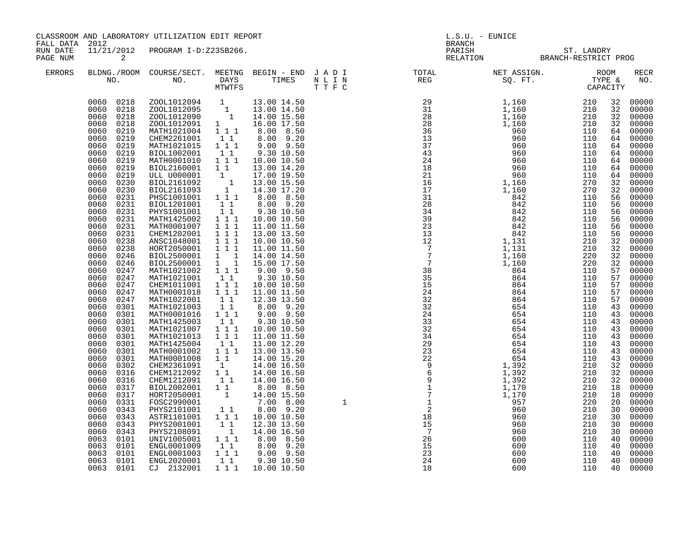| FALL DATA 2012       |                                                                                                                                                                                                                                                                                                                                                                                                                                                                                                                                                                                                                                                                                                                                                                                           | CLASSROOM AND LABORATORY UTILIZATION EDIT REPORT                                                                                                                                                                                                                                                                                                                                                                                                                                                                                                                                                                                                                                                                                                                                                                                                                                                                                                                                                                                                                                                                                                                 |                                                                                                                                                                                                                                                                                                                                                                                                     |                                                                                                                                                                                                                                                                                                                                                                                                                                                                                                                                                                                                                                                                                                  | $L.S.U.$ - EUNICE<br><b>BRANCH</b> |                                                                                                                                                                                                                                                                                                                                                                                                                                            |                                                    |                                                                                                                                                                                                                                                     |                                                                                                                                                                                                                                                                                                                                                                                                                                                                                                             |  |  |
|----------------------|-------------------------------------------------------------------------------------------------------------------------------------------------------------------------------------------------------------------------------------------------------------------------------------------------------------------------------------------------------------------------------------------------------------------------------------------------------------------------------------------------------------------------------------------------------------------------------------------------------------------------------------------------------------------------------------------------------------------------------------------------------------------------------------------|------------------------------------------------------------------------------------------------------------------------------------------------------------------------------------------------------------------------------------------------------------------------------------------------------------------------------------------------------------------------------------------------------------------------------------------------------------------------------------------------------------------------------------------------------------------------------------------------------------------------------------------------------------------------------------------------------------------------------------------------------------------------------------------------------------------------------------------------------------------------------------------------------------------------------------------------------------------------------------------------------------------------------------------------------------------------------------------------------------------------------------------------------------------|-----------------------------------------------------------------------------------------------------------------------------------------------------------------------------------------------------------------------------------------------------------------------------------------------------------------------------------------------------------------------------------------------------|--------------------------------------------------------------------------------------------------------------------------------------------------------------------------------------------------------------------------------------------------------------------------------------------------------------------------------------------------------------------------------------------------------------------------------------------------------------------------------------------------------------------------------------------------------------------------------------------------------------------------------------------------------------------------------------------------|------------------------------------|--------------------------------------------------------------------------------------------------------------------------------------------------------------------------------------------------------------------------------------------------------------------------------------------------------------------------------------------------------------------------------------------------------------------------------------------|----------------------------------------------------|-----------------------------------------------------------------------------------------------------------------------------------------------------------------------------------------------------------------------------------------------------|-------------------------------------------------------------------------------------------------------------------------------------------------------------------------------------------------------------------------------------------------------------------------------------------------------------------------------------------------------------------------------------------------------------------------------------------------------------------------------------------------------------|--|--|
| RUN DATE<br>PAGE NUM | $\overline{a}$                                                                                                                                                                                                                                                                                                                                                                                                                                                                                                                                                                                                                                                                                                                                                                            | 11/21/2012 PROGRAM I-D:Z235B266.                                                                                                                                                                                                                                                                                                                                                                                                                                                                                                                                                                                                                                                                                                                                                                                                                                                                                                                                                                                                                                                                                                                                 |                                                                                                                                                                                                                                                                                                                                                                                                     |                                                                                                                                                                                                                                                                                                                                                                                                                                                                                                                                                                                                                                                                                                  |                                    |                                                                                                                                                                                                                                                                                                                                                                                                                                            | PARISH ST. LANDRY<br>RELATION BRANCH-RESTRICT PROG |                                                                                                                                                                                                                                                     |                                                                                                                                                                                                                                                                                                                                                                                                                                                                                                             |  |  |
| ERRORS               |                                                                                                                                                                                                                                                                                                                                                                                                                                                                                                                                                                                                                                                                                                                                                                                           |                                                                                                                                                                                                                                                                                                                                                                                                                                                                                                                                                                                                                                                                                                                                                                                                                                                                                                                                                                                                                                                                                                                                                                  |                                                                                                                                                                                                                                                                                                                                                                                                     |                                                                                                                                                                                                                                                                                                                                                                                                                                                                                                                                                                                                                                                                                                  |                                    | $\begin{tabular}{lllllllllllllllllllllll} \textsc{BLONG.} \textsc{F0OM} & \textsc{COURSE/SECT.} & \textsc{METNG} & \textsc{BEGIN} & - & \textsc{END} & \textsc{J} & \textsc{A} & \textsc{D} & \textsc{I} & & & \textsc{TOT.} & \textsc{NET} & \textsc{NSIGN.} & \textsc{ROOM} \\ \textsc{NO.} & \textsc{NO.} & \textsc{DAYS} & \textsc{TIMES} & \textsc{N} & \textsc{L} & \textsc{I} & \textsc{N} & & \textsc{TEG} & & & \textsc{SG.} & \$ |                                                    |                                                                                                                                                                                                                                                     | RECR<br>NO.                                                                                                                                                                                                                                                                                                                                                                                                                                                                                                 |  |  |
|                      | 0060<br>0218<br>0060<br>0219<br>0060<br>0219<br>0060<br>0219<br>0219<br>0060<br>0060<br>0219<br>0060<br>0219<br>0060<br>0219<br>0060<br>0230<br>0060<br>0230<br>0060<br>0231<br>0060<br>0231<br>0060<br>0231<br>0060<br>0231<br>0060<br>0231<br>0060<br>0231<br>0060<br>0238<br>0060<br>0238<br>0060<br>0246<br>0060<br>0246<br>0060<br>0247<br>0060<br>0247<br>0060<br>0247<br>0060<br>0247<br>0060<br>0247<br>0060<br>0301<br>0060<br>0301<br>0060<br>0301<br>0060<br>0301<br>0060<br>0301<br>0060<br>0301<br>0060<br>0301<br>0060<br>0301<br>0060<br>0302<br>0060<br>0316<br>0060<br>0316<br>0060<br>0317<br>0060<br>0317<br>0060<br>0331<br>0060<br>0343<br>0060<br>0343<br>0060<br>0343<br>0060<br>0343<br>0063<br>0101<br>0063<br>0101<br>0063<br>0101<br>0063<br>0101<br>0063 0101 | $\begin{array}{cccc} 0060 & 0218 & 200 \text{L}1012094 & 1 & 13.00 & 14.50 \\ 0060 & 0218 & 200 \text{L}1012095 & 1 & 13.00 & 14.50 \\ 0060 & 0218 & 200 \text{L}1012090 & 1 & 14.00 & 15.50 \\ \end{array}$<br>ZOOL1012091 1 16.00 17.50<br>MATH1021004 1 1 1 8.00 8.50<br>CHEM2261001<br>MATH1021015<br>BIOL1002001<br>MATH0001010 1 1 1<br>BIOL2160001 1 1<br>ULL U000001 1 17.00 19.50<br>BIOL2161092 1 13.00 15.50<br>BIOL2161093 1 14.30 17.20<br>PHSC1001001 1 1 1 8.00 8.50<br>BIOL1201001<br>PHYS1001001<br>MATH1425002<br>MATH0001007 1 1 1<br>CHEM1202001 111<br>ANSC1048001 111<br>HORT2050001 111<br>BIOL2500001 1 1<br>BIOL2500001 1 1<br>MATH1021002 1 1 1<br>MATH1021001 1 1<br>CHEM1011001<br>MATH0001018<br>MATH1022001<br>MATH1021003<br>MATH0001016 1 1 1<br>MATH1425003<br>MATH1021007 1 1 1<br>MATH1021013 1 1 1<br>MATH1425004<br>MATH0001002 1 1 1<br>MATH0001008 1 1 14.00 15.20<br>CHEM2361091<br>CHEM1212092 1 1<br>CHEM1212091<br>BIOL2002001 11<br>HORT2050001<br>FOSC2990001<br>PHYS2101001<br>ASTR1101001  1  1  1<br>PHYS2001001<br>PHYS2108091<br>UNIV1005001 111<br>ENGL0001009 11<br>ENGL0001003<br>ENGL2020001<br>CJ 2132001 | $1\quad1$<br>$\begin{array}{c}\n1 \\ 1 \\ 1\n\end{array}$<br>$\begin{array}{rr} 1 & 1 \\ 1 & 1 \end{array}$<br>$1 1 1$<br>$\begin{smallmatrix}&&1\\1&&1\\1&&1\\1&&1\end{smallmatrix}$<br>$\begin{array}{rr} 1 & 1 \\ 1 & 1 \end{array}$<br>$\begin{bmatrix} 1 \\ 1 \end{bmatrix}$<br>11<br>1<br>$1\quad1$<br>$\begin{array}{cc} & 1 & 1 \\ & & 1 \end{array}$<br>$1^{\circ}1^{\circ}1$<br>$1\quad1$ | 8.00 9.20<br>$9.00$ $9.50$<br>9.30 10.50<br>10.00 10.50<br>13.00 14.20<br>8.00 9.20<br>9.30 10.50<br>10.00 10.50<br>11.00 11.50<br>13.00 13.50<br>10.00 10.50<br>11.00 11.50<br>14.00 14.50<br>15.00 17.50<br>9.00 9.50<br>9.30 10.50<br>10.00 10.50<br>11.00 11.50<br>12.30 13.50<br>8.00 9.20<br>$9.00$ $9.50$<br>9.30 10.50<br>10.00 10.50<br>11.00 11.50<br>11.00 12.20<br>13.00 13.50<br>14.00 16.50<br>14.00 16.50<br>14.00 16.50<br>8.00 8.50<br>$\begin{array}{cccc} 1 & 14.00 & 15.50 \\ 7.00 & 8.00 \\ 1 & 8.00 & 9.20 \end{array}$<br>8.00 9.20<br>10.00 10.50<br>12.30 13.50<br>14.00 16.50<br>8.00 8.50<br>$1\ 1\ 8.00\ 9.20$<br>$9.00$ $9.50$<br>9.30 10.50<br>1 1 1 1 10.00 10.50 |                                    |                                                                                                                                                                                                                                                                                                                                                                                                                                            |                                                    | 32<br>32<br>64<br>64<br>$5\overline{6}$<br>56<br>56<br>56<br>56<br>56<br>32<br>32<br>32<br>32<br>57<br>57<br>57<br>57<br>57<br>43<br>43<br>43<br>43<br>43<br>43<br>32<br>32<br>32<br>18<br>18<br>20<br>30<br>30<br>30<br>30<br>40<br>40<br>40<br>40 | 32 00000<br>00000<br>32 00000<br>00000<br>64 00000<br>00000<br>64 00000<br>64 00000<br>64 00000<br>00000<br>64 00000<br>32 00000<br>32 00000<br>00000<br>00000<br>00000<br>00000<br>00000<br>00000<br>00000<br>00000<br>00000<br>00000<br>00000<br>00000<br>00000<br>00000<br>00000<br>00000<br>43 00000<br>00000<br>00000<br>43 00000<br>00000<br>00000<br>00000<br>00000<br>00000<br>00000<br>00000<br>00000<br>00000<br>00000<br>00000<br>00000<br>00000<br>00000<br>00000<br>00000<br>00000<br>40 00000 |  |  |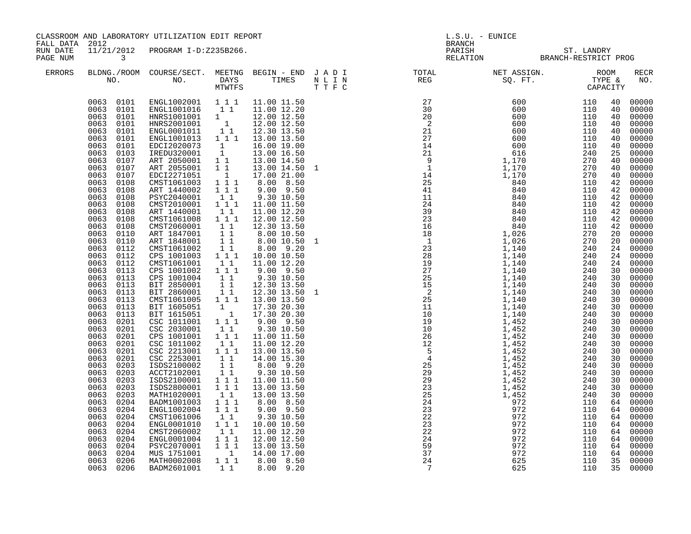| CLASSROOM AND LABORATORY UTILIZATION EDIT REPORT<br>FALL DATA 2012 |                                                                                                                                                                                                                                                                                                                                                                                                                                                                                                                                                                                                                                                                                                                                                                                                                     |                                                                                                                                                                                                                                                                                                                                                                                                                                                                                                                                                                                                                                                                                                                                                                                                                                                                                                                                                                                                                              |                                                                                                                                                                                                                                                                                                      |                                                                                                                                                                                                                                                                                                                                                                                                                                                                                                                                                                                                                                     |  | $L.S.U. - EUNICE$                                                                                                                                                                                                                                                              |                                                              |  |                                                                                                                                                                                                                                                                            |                                                                                                                                                                                                                                                                                                                                                                                                                                                                                           |
|--------------------------------------------------------------------|---------------------------------------------------------------------------------------------------------------------------------------------------------------------------------------------------------------------------------------------------------------------------------------------------------------------------------------------------------------------------------------------------------------------------------------------------------------------------------------------------------------------------------------------------------------------------------------------------------------------------------------------------------------------------------------------------------------------------------------------------------------------------------------------------------------------|------------------------------------------------------------------------------------------------------------------------------------------------------------------------------------------------------------------------------------------------------------------------------------------------------------------------------------------------------------------------------------------------------------------------------------------------------------------------------------------------------------------------------------------------------------------------------------------------------------------------------------------------------------------------------------------------------------------------------------------------------------------------------------------------------------------------------------------------------------------------------------------------------------------------------------------------------------------------------------------------------------------------------|------------------------------------------------------------------------------------------------------------------------------------------------------------------------------------------------------------------------------------------------------------------------------------------------------|-------------------------------------------------------------------------------------------------------------------------------------------------------------------------------------------------------------------------------------------------------------------------------------------------------------------------------------------------------------------------------------------------------------------------------------------------------------------------------------------------------------------------------------------------------------------------------------------------------------------------------------|--|--------------------------------------------------------------------------------------------------------------------------------------------------------------------------------------------------------------------------------------------------------------------------------|--------------------------------------------------------------|--|----------------------------------------------------------------------------------------------------------------------------------------------------------------------------------------------------------------------------------------------------------------------------|-------------------------------------------------------------------------------------------------------------------------------------------------------------------------------------------------------------------------------------------------------------------------------------------------------------------------------------------------------------------------------------------------------------------------------------------------------------------------------------------|
| RUN DATE<br>PAGE NUM                                               | $\overline{\mathbf{3}}$                                                                                                                                                                                                                                                                                                                                                                                                                                                                                                                                                                                                                                                                                                                                                                                             |                                                                                                                                                                                                                                                                                                                                                                                                                                                                                                                                                                                                                                                                                                                                                                                                                                                                                                                                                                                                                              | 11/21/2012 PROGRAM I-D:Z235B266.                                                                                                                                                                                                                                                                     |                                                                                                                                                                                                                                                                                                                                                                                                                                                                                                                                                                                                                                     |  |                                                                                                                                                                                                                                                                                | BRANCH<br>PARISH ST. LANDRY<br>RELATION BRANCH-RESTRICT PROG |  |                                                                                                                                                                                                                                                                            |                                                                                                                                                                                                                                                                                                                                                                                                                                                                                           |
| ERRORS                                                             |                                                                                                                                                                                                                                                                                                                                                                                                                                                                                                                                                                                                                                                                                                                                                                                                                     |                                                                                                                                                                                                                                                                                                                                                                                                                                                                                                                                                                                                                                                                                                                                                                                                                                                                                                                                                                                                                              |                                                                                                                                                                                                                                                                                                      |                                                                                                                                                                                                                                                                                                                                                                                                                                                                                                                                                                                                                                     |  | BLDNG./ROOM COURSE/SECT. MEETNG BEGIN – END JADI TOTAL TOTAL NET ASSIGN. ROOM ROOM NO. DAYS TIMES NLIN REG SQ.FT. TYPE &                                                                                                                                                       |                                                              |  |                                                                                                                                                                                                                                                                            | RECR<br>NO.                                                                                                                                                                                                                                                                                                                                                                                                                                                                               |
|                                                                    | 0063 0101<br>0063 0101<br>0063<br>0101<br>0063<br>0101<br>0063<br>0101<br>0063<br>0101<br>0063<br>0103<br>0063<br>0107<br>0063<br>0107<br>0063<br>0107<br>0063<br>0108<br>0063<br>0108<br>0063<br>0108<br>0063<br>0108<br>0063<br>0108<br>0063<br>0108<br>0063<br>0108<br>0063<br>0110<br>0063<br>0110<br>0063<br>0112<br>0063<br>0112<br>0063<br>0112<br>0063<br>0113<br>0063<br>0113<br>0063<br>0113<br>0063<br>0113<br>0063<br>0113<br>0063<br>0113<br>0063<br>0113<br>0063<br>0201<br>0063<br>0201<br>0063<br>0201<br>0063<br>0201<br>0063<br>0201<br>0063<br>0201<br>0063<br>0203<br>0063<br>0203<br>0063<br>0203<br>0063<br>0203<br>0063<br>0203<br>0063<br>0204<br>0063<br>0204<br>0063<br>0204<br>0063<br>0204<br>0063<br>0204<br>0063<br>0204<br>0063<br>0204<br>0063<br>0204<br>0063<br>0206<br>0063 0206 | 0063 0101 ENGL1002001 111 11.00 11.50<br>ENGL1001016 1 1<br>1 12.00 12.50<br>HNRS2001001 1 12.00 12.50<br>ENGL0001011 1 12.30 13.50<br>ENGL1001013 1 1 13.00 13.50<br>EDCI2020073 1<br>IREDU320001 1<br>ART 2050001 1 1<br>ART 2055001 1 1<br>EDCI2271051 1<br>CMST1061003 1 1 1<br>ART 1440002 1 1 1<br>PSYC2040001<br>CMST2010001 1 1 1<br>ART 1440001<br>CMST1061008<br>CMST2060001<br>ART 1847001<br>ART 1848001<br>CMST1061002<br>CPS 1001003 1 1 1<br>CMST1061001<br>CPS 1001002 1 1 1<br>CPS 1001004<br>BIT 2850001<br>BIT 2860001<br>CMST1061005 1 1 1 13.00 13.50<br>BIT 1605051<br>BIT 1615051 1 17.30 20.30<br>CSC 1011001 1 11 9.00 9.50<br>CSC 2030001<br>CPS 1001001<br>CSC 1011002<br>CSC 2213001 111<br>CSC 2253001<br>ISDS2100002<br>ACCT2102001 1 1<br>ISDS2100001 1 1 1<br>ISDS2800001 111<br>MATH1020001<br>BADM1001003<br>ENGL1002004 111<br>CMST1061006<br>ENGL0001010<br>CMST2060002<br>ENGL0001004 1 1 1<br>PSYC2070001 1 1 1 13.00 13.50<br>MUS 1751001 1 14.00 17.00<br>MATH0002008<br>BADM2601001 | $1\quad1$<br>11<br>1 1 1<br>$1\quad1$<br>$1\quad1$<br>11<br>11<br>$1\quad1$<br>$1\quad1$<br>11<br>$1\quad1$<br>1<br>$\begin{smallmatrix}1&1\\1&1&1\end{smallmatrix}$<br>11<br>$\begin{array}{rr} & 1 & 1 \\ & 1 & 1 \end{array}$<br>$1\quad1$<br>1 1 1<br>$1\quad1$<br>$1 1 1$<br>$1\quad1$<br>1 1 1 | 11.00 12.20<br>16.00 19.00<br>13.00 16.50<br>13.00 14.50<br>13.00 14.50 1<br>17.00 21.00<br>8.00 8.50<br>9.00 9.50<br>9.30 10.50<br>11.00 11.50<br>11.00 12.20<br>12.00 12.50<br>12.30 13.50<br>8.00 10.50<br>8.00 10.50<br>8.00 9.20<br>10.00 10.50<br>11.00 12.20<br>9.00 9.50<br>9.30 10.50<br>12.30 13.50<br>12.30 13.50<br>17.30 20.30<br>$9.00$ 9.50<br>9.30 10.50<br>11.00 11.50<br>11.00 12.20<br>13.00 13.50<br>14.00 15.30<br>8.00 9.20<br>9.30 10.50<br>11.00 11.50<br>13.00 13.50<br>13.00 13.50<br>8.00 8.50<br>$9.00$ $9.50$<br>9.30 10.50<br>10.00 10.50<br>11.00 12.20<br>12.00 12.50<br>8.00 8.50<br>1 1 8.00 9.20 |  | $\begin{smallmatrix} 0.01 & 0.02 & 0.01 & 0.01 & 0.01 & 0.01 & 0.01 & 0.01 & 0.01 & 0.01 & 0.01 & 0.01 & 0.01 & 0.01 & 0.01 & 0.01 & 0.01 & 0.01 & 0.01 & 0.01 & 0.01 & 0.01 & 0.01 & 0.01 & 0.01 & 0.01 & 0.01 & 0.01 & 0.01 & 0.01 & 0.01 & 0.01 & 0.01 & 0.01 & 0.01 & 0.0$ |                                                              |  | 40<br>40<br>40<br>40<br>40<br>40<br>40<br>25<br>40<br>40<br>40<br>42<br>42<br>42<br>42<br>42<br>20<br>20<br>24<br>30<br>30<br>30<br>30<br>30<br>30<br>30<br>30<br>30<br>30<br>30<br>30<br>30<br>30<br>30<br>30<br>30<br>30<br>64<br>64<br>64<br>64<br>64<br>64<br>64<br>35 | 00000<br>00000<br>00000<br>00000<br>00000<br>00000<br>00000<br>00000<br>00000<br>00000<br>00000<br>00000<br>00000<br>42 00000<br>00000<br>00000<br>00000<br>42 00000<br>00000<br>00000<br>24 00000<br>24 00000<br>00000<br>00000<br>00000<br>00000<br>00000<br>00000<br>00000<br>00000<br>00000<br>00000<br>00000<br>00000<br>00000<br>00000<br>00000<br>00000<br>00000<br>00000<br>00000<br>00000<br>00000<br>00000<br>00000<br>00000<br>00000<br>00000<br>64 00000<br>00000<br>35 00000 |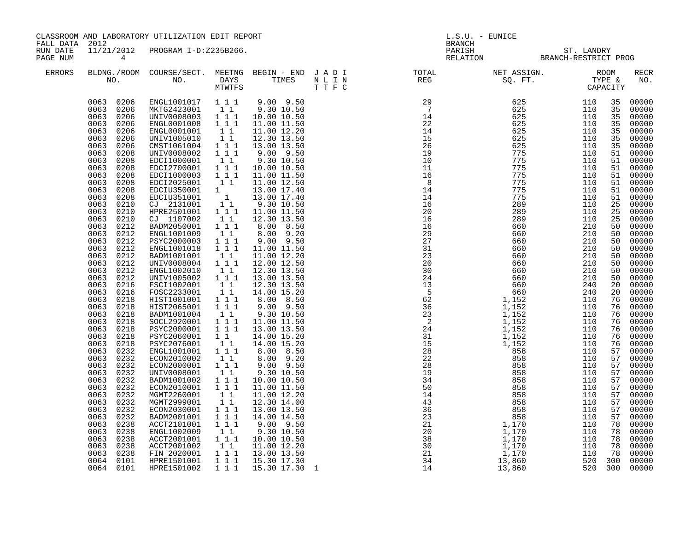| FALL DATA 2012       | CLASSROOM AND LABORATORY UTILIZATION EDIT REPORT                                                                                                                                                                                                                                                                                                                                                                                                                                                                                                                                                                                                                                                                                                                                       |                                                                                                                                                                                                                                                                                                                                                                                                                                                                                                                                                                                                                                                                                                                                                                                                                                                                                                                                                                             |                                                                                                                                                                                                                                                                                                                                                                                                                                                                                                          |                                                                                                                                                                                                                                                                                                                                                                                                                                                                                                                                                                                                                                                                                                                                                     |  | L.S.U. - EUNICE<br><b>BRANCH</b>                                                                                                                                                                                                                                                                                             |                                                    |         |                                                                                                                                                                                                                                                                                                    |                                                                                                                                                                                                                                                                                                                                                                                                                                                       |  |
|----------------------|----------------------------------------------------------------------------------------------------------------------------------------------------------------------------------------------------------------------------------------------------------------------------------------------------------------------------------------------------------------------------------------------------------------------------------------------------------------------------------------------------------------------------------------------------------------------------------------------------------------------------------------------------------------------------------------------------------------------------------------------------------------------------------------|-----------------------------------------------------------------------------------------------------------------------------------------------------------------------------------------------------------------------------------------------------------------------------------------------------------------------------------------------------------------------------------------------------------------------------------------------------------------------------------------------------------------------------------------------------------------------------------------------------------------------------------------------------------------------------------------------------------------------------------------------------------------------------------------------------------------------------------------------------------------------------------------------------------------------------------------------------------------------------|----------------------------------------------------------------------------------------------------------------------------------------------------------------------------------------------------------------------------------------------------------------------------------------------------------------------------------------------------------------------------------------------------------------------------------------------------------------------------------------------------------|-----------------------------------------------------------------------------------------------------------------------------------------------------------------------------------------------------------------------------------------------------------------------------------------------------------------------------------------------------------------------------------------------------------------------------------------------------------------------------------------------------------------------------------------------------------------------------------------------------------------------------------------------------------------------------------------------------------------------------------------------------|--|------------------------------------------------------------------------------------------------------------------------------------------------------------------------------------------------------------------------------------------------------------------------------------------------------------------------------|----------------------------------------------------|---------|----------------------------------------------------------------------------------------------------------------------------------------------------------------------------------------------------------------------------------------------------------------------------------------------------|-------------------------------------------------------------------------------------------------------------------------------------------------------------------------------------------------------------------------------------------------------------------------------------------------------------------------------------------------------------------------------------------------------------------------------------------------------|--|
| RUN DATE<br>PAGE NUM | $4\overline{4}$                                                                                                                                                                                                                                                                                                                                                                                                                                                                                                                                                                                                                                                                                                                                                                        | 11/21/2012 PROGRAM I-D:Z235B266.                                                                                                                                                                                                                                                                                                                                                                                                                                                                                                                                                                                                                                                                                                                                                                                                                                                                                                                                            |                                                                                                                                                                                                                                                                                                                                                                                                                                                                                                          |                                                                                                                                                                                                                                                                                                                                                                                                                                                                                                                                                                                                                                                                                                                                                     |  |                                                                                                                                                                                                                                                                                                                              | PARISH ST. LANDRY<br>RELATION BRANCH-RESTRICT PROG |         |                                                                                                                                                                                                                                                                                                    |                                                                                                                                                                                                                                                                                                                                                                                                                                                       |  |
| ERRORS               |                                                                                                                                                                                                                                                                                                                                                                                                                                                                                                                                                                                                                                                                                                                                                                                        |                                                                                                                                                                                                                                                                                                                                                                                                                                                                                                                                                                                                                                                                                                                                                                                                                                                                                                                                                                             |                                                                                                                                                                                                                                                                                                                                                                                                                                                                                                          |                                                                                                                                                                                                                                                                                                                                                                                                                                                                                                                                                                                                                                                                                                                                                     |  |                                                                                                                                                                                                                                                                                                                              |                                                    |         |                                                                                                                                                                                                                                                                                                    | RECR<br>NO.                                                                                                                                                                                                                                                                                                                                                                                                                                           |  |
|                      | 0063 0206<br>0063 0206<br>0063<br>0206<br>0063<br>0206<br>0063<br>0206<br>0063<br>0206<br>0063<br>0208<br>0063<br>0208<br>0063<br>0208<br>0063<br>0208<br>0063<br>0208<br>0063<br>0208<br>0063<br>0208<br>0063<br>0210<br>0063<br>0210<br>0063<br>0210<br>0063<br>0212<br>0063<br>0212<br>0063<br>0212<br>0063<br>0212<br>0063<br>0212<br>0063<br>0212<br>0063<br>0212<br>0063<br>0212<br>0063<br>0216<br>0063<br>0216<br>0063<br>0218<br>0063<br>0218<br>0063<br>0218<br>0063<br>0218<br>0063<br>0218<br>0063<br>0218<br>0063<br>0218<br>0063<br>0232<br>0063<br>0232<br>0063<br>0232<br>0063<br>0232<br>0063<br>0232<br>0063<br>0232<br>0063<br>0232<br>0063<br>0232<br>0063<br>0232<br>0063<br>0232<br>0063<br>0238<br>0063<br>0238<br>0063<br>0238<br>0063<br>0238<br>0063<br>0238 | 0063 0206 ENGL1001017 1 1 1<br>MKTG2423001 1 1<br>UNIV0008003 111<br>ENGL0001008<br>ENGL0001001<br>UNIV1005010<br>CMST1061004 1 1 1<br>UNIV0008002<br>EDCI1000001<br>EDCI2700001 111<br>EDCI1000003 1 1 1<br>EDCI2025001 1 1<br>$\begin{tabular}{l cccc} \texttt{EDC{{I3}}50001} & 1 \\ \texttt{EDC{{I3}}50001} & 1 \\ \texttt{CJ} & 2131001 & 1 \\ \texttt{HPRE2501001} & 1 & 1 \\ \texttt{HPRE2501001} & 1 & 1 \\ \end{tabular}$<br>CJ 1107002<br>BADM2050001 111<br>ENGL1001009<br>PSYC2000003<br>ENGL1001018<br>BADM1001001<br>UNIV0008004<br>ENGL1002010<br>UNIV1005002<br>FSCI1002001<br>FOSC2233001<br>HIST1001001  1  1  1<br>HIST2065001<br>BADM1001004<br>SOCL2920001<br>PSYC2000001<br>PSYC2060001<br>PSYC2076001<br>ENGL1001001<br>ECON2010002<br>ECON2000001<br>UNIV0008001<br>BADM1001002<br>ECON2010001 111<br>MGMT2260001<br>MGMT2999001<br>ECON2030001 111<br>BADM2001001<br>ACCT2101001<br>ENGL1002009<br>ACCT2001001 1 1 1<br>ACCT2001002<br>FIN 2020001 | $1 1 1$<br>11<br>11<br>111<br>$1\quad1$<br>$1\quad1$<br>11<br>$1$ $1$ $1$<br>$\overline{1}$ $\overline{1}$ $\overline{1}$<br>$1\quad1$<br>$1 1 1$<br>11<br>1 1 1<br>$1\quad1$<br>$1\overline{1}$<br>111<br>$\begin{smallmatrix}1&1\\1&1&1\end{smallmatrix}$<br>1 1 1<br>$1\quad1$<br>$\begin{bmatrix} 1 \\ 1 \\ 1 \end{bmatrix}$<br>$\begin{smallmatrix}1&1\\1&1\end{smallmatrix}$<br>11<br>$1 1 1$<br>$1\quad1$<br>$1\quad1$<br>1 1 1<br>$1 1 1$<br>11<br>$\begin{bmatrix} 1\\ 1\\ 1\\ 1 \end{bmatrix}$ | $9.00$ $9.50$<br>9.30 10.50<br>10.00 10.50<br>11.00 11.50<br>11.00 12.20<br>12.30 13.50<br>13.00 13.50<br>$9.00$ $9.50$<br>9.30 10.50<br>10.00 10.50<br>11.00 11.50<br>11.00 12.50<br>13.00 17.40<br>13.00 17.40<br>9.30 10.50<br>11.00 11.50<br>12.30 13.50<br>8.00 8.50<br>8.00 9.20<br>$9.00$ $9.50$<br>11.00 11.50<br>11.00 12.20<br>12.00 12.50<br>12.30 13.50<br>13.00 13.50<br>12.30 13.50<br>14.00 15.20<br>8.00 8.50<br>$9.00$ $9.50$<br>9.30 10.50<br>11.00 11.50<br>13.00 13.50<br>14.00 15.20<br>14.00 15.20<br>8.00 8.50<br>8.00 9.20<br>9.00 9.50<br>9.30 10.50<br>10.00 10.50<br>11.00 11.50<br>11.00 12.20<br>12.30 14.00<br>13.00 13.50<br>14.00 14.50<br>$9.00$ $9.50$<br>9.30 10.50<br>10.00 10.50<br>11.00 12.20<br>13.00 13.50 |  | $\begin{array}{cccc} \texttt{RT} & \texttt{RSC} & \texttt{0.0} & \texttt{TT} & \texttt{CCT} & \texttt{CCT} \\ \texttt{RSC} & 80 & 571 & 7775 & 1100 & 1100 & 1100 \\ 29 & 625 & 1100 & 2455 & 1110 \\ 224 & 6255 & 1110 & 1100 & 2455 & 1110 \\ 235 & 1156 & 6255 & 1110 & 1100 \\ 245 & 6255 & 1110 & 2455 & 1110 \\ 255 &$ |                                                    |         | 35<br>35<br>35<br>35<br>35<br>35<br>35<br>51<br>51<br>51<br>51<br>51<br>51<br>51<br>25<br>25<br>25<br>50<br>50<br>50<br>50<br>50<br>50<br>50<br>50<br>20<br>20<br>76<br>76<br>76<br>76<br>76<br>76<br>76<br>57<br>57<br>57<br>57<br>57<br>57<br>57<br>57<br>57<br>57<br>78<br>78<br>78<br>78<br>78 | 00000<br>00000<br>00000<br>00000<br>00000<br>00000<br>00000<br>00000<br>00000<br>00000<br>00000<br>00000<br>00000<br>00000<br>00000<br>00000<br>00000<br>00000<br>00000<br>00000<br>00000<br>00000<br>00000<br>00000<br>00000<br>00000<br>00000<br>00000<br>00000<br>00000<br>00000<br>00000<br>00000<br>00000<br>00000<br>00000<br>00000<br>00000<br>00000<br>00000<br>00000<br>00000<br>00000<br>00000<br>00000<br>00000<br>00000<br>00000<br>00000 |  |
|                      | 0064 0101<br>0064 0101                                                                                                                                                                                                                                                                                                                                                                                                                                                                                                                                                                                                                                                                                                                                                                 | HPRE1501001<br>HPRE1501002                                                                                                                                                                                                                                                                                                                                                                                                                                                                                                                                                                                                                                                                                                                                                                                                                                                                                                                                                  | 1 1 1<br>1 1 1                                                                                                                                                                                                                                                                                                                                                                                                                                                                                           | 15.30 17.30<br>15.30 17.30 1                                                                                                                                                                                                                                                                                                                                                                                                                                                                                                                                                                                                                                                                                                                        |  |                                                                                                                                                                                                                                                                                                                              |                                                    | 520 300 | 300                                                                                                                                                                                                                                                                                                | 00000<br>00000                                                                                                                                                                                                                                                                                                                                                                                                                                        |  |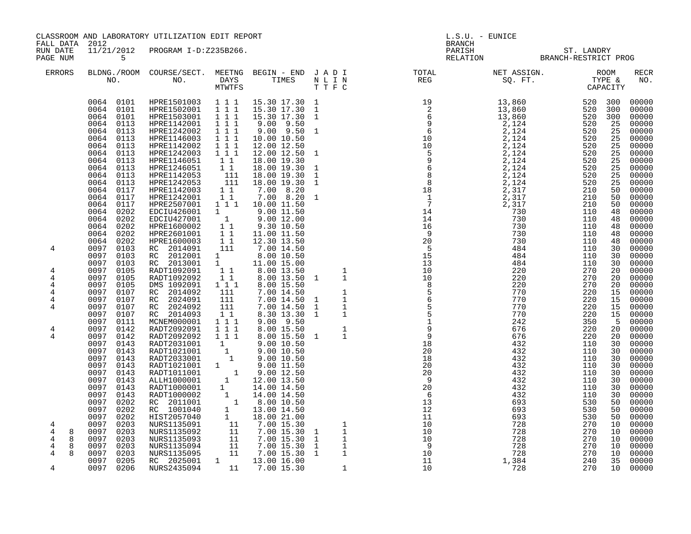CLASSROOM AND LABORATORY UTILIZATION EDIT REPORT AND REPORT THE SERVICE REPORT OF L.S.U. - EUNICE FALL DATA 2012 RUN DATE 11/21/2012 PROGRAM I-D:Z235B266. ENDER SOM STRANGEN STRANGEN STRANGEN STRANGEN STRANGEN STRANGEN STRANGEN STRANGEN STRANGEN STRANGEN STRANGEN STRANGEN STRANGEN STRANGEN STRANGEN STRANGEN STRANGEN STRANGEN STRANGEN STRANGEN STRANGEN STRANGEN STRANGEN STRAN ERRORS BLDNG./ROOM COURSE/SECT. MEETNG BEGIN - END J A D I TOTAL NET ASSIGN. ROOM RECR NO. NO. DAYS TIMES N L I N REG SQ. FT. TYPE & NO. MTWTFS T T F C CAPACITY 0064 0101 HPRE1501003 1 1 1 15.30 17.30 1 13,860 520 300 00000 0064 0101 HPRE1502001 1 1 1 15.30 17.30 1 13,860 520 300 00000 0064 0101 HPRE1503001 1 1 1 15.30 17.30 1 6 13,860 520 300 00000 0064 0113 HPRE1142001 1 1 1 9.00 9.50 9 2,124 520 25 00000 0064 0113 HPRE1242002 1 1 1 9.00 9.50 1 6 2,124 520 25 00000 0064 0113 HPRE1146003 1 1 1 10.00 10.50 10 2,124 520 25 00000 0064 0113 HPRE1142002 1 1 1 12.00 12.50 2,124 520 25 00000 0064 0113 HPRE1242003 1 1 1 12.00 12.50 1 2,124 520 25 00000 0064 0113 HPRE1146051 1 1 18.00 19.30 9 2,124 520 25 00000 0064 0113 HPRE1246051 1 1 18.00 19.30 1 6 2,124 520 25 00000 0064 0113 HPRE1142053 111 18.00 19.30 1 8 2,124 520 25 00000 0064 0113 HPRE1242053 111 18.00 19.30 1 8 2,124 520 25 00000 0064 0117 HPRE1142003 1 1 7.00 8.20 18 2,317 210 50 00000 0064 0117 HPRE1242001 1 1 7.00 8.20 1 1 2,317 210 50 00000 0064 0117 HPRE2507001 1 1 1 10.00 11.50 7 2,317 210 50 00000 0064 0202 EDCIU426001 1 9.00 11.50 14 730 110 48 00000 0064 0202 EDCIU427001 1 9.00 12.00 14 730 110 48 00000 0064 0202 HPRE1600002 1 1 9.30 10.50 16 730 110 48 00000 0064 0202 HPRE2601001 1 1 11.00 11.50 9 730 110 48 00000 0064 0202 HPRE1600003 1 1 12.30 13.50 20 730 110 48 00000 4 0097 0103 RC 2014091 111 7.00 14.50 5 484 110 30 00000 0097 0103 RC 2012001 1 8.00 10.50 15 484 110 30 00000 0097 0103 RC 2013001 1 11.00 15.00 13 484 110 30 00000 4 0097 0105 RADT1092091 1 1 8.00 13.50 1 10 220 270 20 00000 4 0097 0105 RADT1092092 1 1 8.00 13.50 1 1 10 220 270 20 00000 4 0097 0105 DMS 1092091 1 1 1 8.00 15.50 8 220 270 20 00000 4 0097 0107 RC 2014092 111 7.00 14.50 1 5 770 220 15 00000 4 0097 0107 RC 2024091 111 7.00 14.50 1 1 6 770 220 15 00000 4 0097 0107 RC 2024092 111 7.00 14.50 1 1 5 770 220 15 00000 0097 0107 RC 2014093 1 1 8.30 13.30 1 1 5 770 220 15 00000 0097 0111 MCNEM000001 1 1 1 9.00 9.50 1 242 350 5 00000 4 0097 0142 RADT2092091 1 1 1 8.00 15.50 1 9 676 220 20 00000 4 0097 0142 RADT2092092 1 1 1 8.00 15.50 1 1 9 676 220 20 00000 0097 0143 RADT2031001 1 9.00 10.50 18 432 110 30 00000 0097 0143 RADT1021001 1 9.00 10.50 20 432 110 30 00000 0097 0143 RADT2033001 1 9.00 10.50 18 432 110 30 00000 0097 0143 RADT1021001 1 9.00 11.50 20 432 110 30 00000 0097 0143 RADT1011001 1 9.00 12.50 20 432 110 30 00000 0097 0143 ALLH1000001 1 12.00 13.50 9 432 110 30 00000 0097 0143 RADT1000001 1 14.00 14.50 20 432 110 30 00000 0097 0143 RADT1000002 1 14.00 14.50 6 432 110 30 00000 0097 0202 RC 2011001 1 8.00 10.50 13 693 530 50 00000 0097 0202 RC 1001040 1 13.00 14.50 12 693 530 50 00000 0097 0202 HIST2057040 1 18.0021.00 11 693 530 50 00000 4 0097 0203 NURS1135091 11 7.00 15.30 1 10 728 270 10 00000 4 8 0097 0203 NURS1135092 11 7.00 15.30 1 1 10 728 270 10 00000

4 8 0097 0203 NURS1135093 11 7.00 15.30 1 1 10 728 270 10 00000 4 8 0097 0203 NURS1135094 11 7.00 15.30 1 1 9 728 270 10 00000 4 8 0097 0203 NURS1135095 11 7.00 15.30 1 1 10 728 270 10 00000 0097 0205 RC 2025001 1 13.00 16.00 11 1,384 240 35 00000 4 0097 0206 NURS2435094 11 7.00 15.30 1 10 728 270 10 00000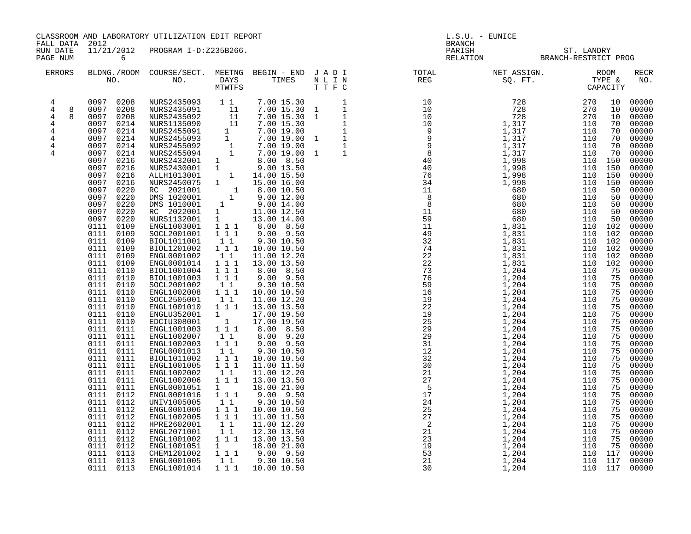| FALL DATA 2012                                                                                  |                                                                                                                                                                                                                                                                                                                                                                                                                                                                                                                                                                                                                                                                                                                                         | CLASSROOM AND LABORATORY UTILIZATION EDIT REPORT |  |  | L.S.U. - EUNICE<br>BRANCH |                                                                                                                                                                                                                                                                                                                                                                                                                                                               |  |                                                                                                                                                                                                                                                                                                                                                                                                                                                                         |  |  |
|-------------------------------------------------------------------------------------------------|-----------------------------------------------------------------------------------------------------------------------------------------------------------------------------------------------------------------------------------------------------------------------------------------------------------------------------------------------------------------------------------------------------------------------------------------------------------------------------------------------------------------------------------------------------------------------------------------------------------------------------------------------------------------------------------------------------------------------------------------|--------------------------------------------------|--|--|---------------------------|---------------------------------------------------------------------------------------------------------------------------------------------------------------------------------------------------------------------------------------------------------------------------------------------------------------------------------------------------------------------------------------------------------------------------------------------------------------|--|-------------------------------------------------------------------------------------------------------------------------------------------------------------------------------------------------------------------------------------------------------------------------------------------------------------------------------------------------------------------------------------------------------------------------------------------------------------------------|--|--|
| RUN DATE<br>PAGE NUM                                                                            | $6\overline{6}$                                                                                                                                                                                                                                                                                                                                                                                                                                                                                                                                                                                                                                                                                                                         | 11/21/2012 PROGRAM I-D:Z235B266.                 |  |  |                           | PARISH ST. LANDRY<br>RELATION BRANCH-RESTRICT PROG                                                                                                                                                                                                                                                                                                                                                                                                            |  |                                                                                                                                                                                                                                                                                                                                                                                                                                                                         |  |  |
| ERRORS                                                                                          |                                                                                                                                                                                                                                                                                                                                                                                                                                                                                                                                                                                                                                                                                                                                         |                                                  |  |  |                           |                                                                                                                                                                                                                                                                                                                                                                                                                                                               |  | <b>RECR</b><br>NO.                                                                                                                                                                                                                                                                                                                                                                                                                                                      |  |  |
| $4^{\circ}$<br>$\overline{4}$<br>8<br>$\overline{4}$<br>8<br>4<br>4<br>$\overline{4}$<br>4<br>4 | 0097 0208<br>0097 0208<br>0097 0208<br>0097<br>0214<br>0097 0214<br>0097<br>0214<br>0097 0214<br>0097<br>0214<br>0097 0216<br>0097<br>0216<br>0097<br>0216<br>0097<br>0216<br>0097<br>0220<br>0097<br>0220<br>0097<br>0220<br>0097<br>0220<br>0097<br>0220<br>0111 0109<br>0111 0109<br>0111 0109<br>0111 0109<br>0111 0109<br>0111 0109<br>0111 0110<br>0111 0110<br>0111 0110<br>0111 0110<br>0111 0110<br>0111 0110<br>0111<br>0110<br>0111 0110<br>0111 0111<br>0111 0111<br>0111<br>0111<br>0111 0111<br>0111<br>0111<br>$0111$ $0111$<br>0111 0111<br>0111 0111<br>0111 0111<br>0111 0112<br>0111<br>0112<br>0111 0112<br>0111 0112<br>0111 0112<br>0111 0112<br>0111<br>0112<br>0111 0112<br>0111 0113<br>0111 0113<br>0111 0113 |                                                  |  |  |                           | $\begin{small} \textbf{11}_{\textbf{1}} \textbf{1}_{\textbf{2}} \textbf{1}_{\textbf{3}} \textbf{1}_{\textbf{4}} \textbf{1}_{\textbf{5}} \textbf{1}_{\textbf{6}} \textbf{1}_{\textbf{7}} \textbf{1}_{\textbf{8}} \textbf{1}_{\textbf{9}} \textbf{1}_{\textbf{1}} \textbf{1}_{\textbf{1}} \textbf{1}_{\textbf{1}} \textbf{1}_{\textbf{1}} \textbf{1}_{\textbf{1}} \textbf{1}_{\textbf{1}} \textbf{1}_{\textbf{1}} \textbf{1}_{\textbf{1}} \textbf{1}_{\textbf{$ |  | 00000<br>00000<br>00000<br>00000<br>00000<br>00000<br>00000<br>00000<br>00000<br>00000<br>00000<br>00000<br>00000<br>00000<br>00000<br>00000<br>00000<br>00000<br>00000<br>00000<br>00000<br>00000<br>00000<br>00000<br>00000<br>00000<br>00000<br>00000<br>00000<br>00000<br>00000<br>00000<br>00000<br>00000<br>00000<br>00000<br>00000<br>00000<br>00000<br>00000<br>00000<br>00000<br>00000<br>00000<br>00000<br>00000<br>00000<br>00000<br>00000<br>00000<br>00000 |  |  |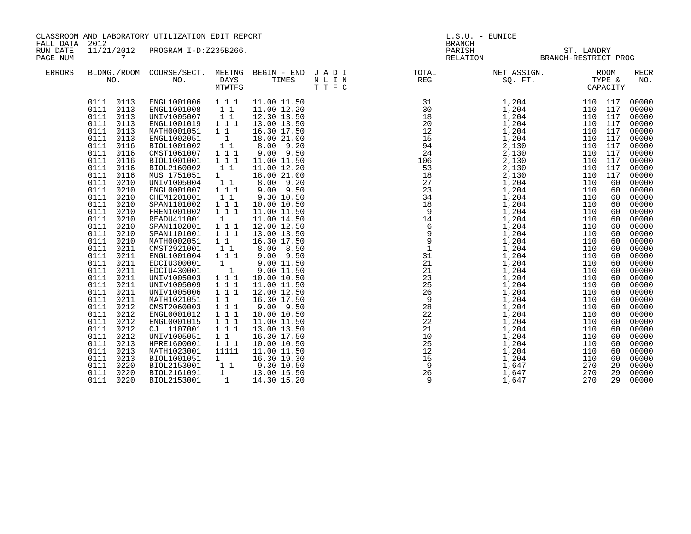| FALL DATA 2012       |                                                                                                                                                                                                                                                                                                                                                                                                                                                                                                                                                                                                                                              | CLASSROOM AND LABORATORY UTILIZATION EDIT REPORT                                                                                                                                                                                                                                                                                                                                                                                                                                                                                                                                                           |                                                                                                                                                                                                                                                                                                                                                                                                    |                                                                                                                                                                                                                                                                                                                                                                                                                                                                                                                                                                                                     | $L.S.U. - EUNICE$ |                                                                                                                                                                                                                                                                                |                                                                                                                                                                                                                                                                                                                   |                                                                                                                                                                                    |                                                                                                                                                                                                                                                                                                                                                             |  |
|----------------------|----------------------------------------------------------------------------------------------------------------------------------------------------------------------------------------------------------------------------------------------------------------------------------------------------------------------------------------------------------------------------------------------------------------------------------------------------------------------------------------------------------------------------------------------------------------------------------------------------------------------------------------------|------------------------------------------------------------------------------------------------------------------------------------------------------------------------------------------------------------------------------------------------------------------------------------------------------------------------------------------------------------------------------------------------------------------------------------------------------------------------------------------------------------------------------------------------------------------------------------------------------------|----------------------------------------------------------------------------------------------------------------------------------------------------------------------------------------------------------------------------------------------------------------------------------------------------------------------------------------------------------------------------------------------------|-----------------------------------------------------------------------------------------------------------------------------------------------------------------------------------------------------------------------------------------------------------------------------------------------------------------------------------------------------------------------------------------------------------------------------------------------------------------------------------------------------------------------------------------------------------------------------------------------------|-------------------|--------------------------------------------------------------------------------------------------------------------------------------------------------------------------------------------------------------------------------------------------------------------------------|-------------------------------------------------------------------------------------------------------------------------------------------------------------------------------------------------------------------------------------------------------------------------------------------------------------------|------------------------------------------------------------------------------------------------------------------------------------------------------------------------------------|-------------------------------------------------------------------------------------------------------------------------------------------------------------------------------------------------------------------------------------------------------------------------------------------------------------------------------------------------------------|--|
| RUN DATE<br>PAGE NUM | 11/21/2012                                                                                                                                                                                                                                                                                                                                                                                                                                                                                                                                                                                                                                   | PROGRAM I-D:Z235B266.<br>$\begin{tabular}{lllllllll} \multicolumn{2}{c}{\text{L1/21/21--}}\\ \multicolumn{2}{c}{\text{5.5}}\\ \multicolumn{2}{c}{\text{BLDNG./ROM}} & \multicolumn{2}{c}{\text{COURSE/SECT.}} & \multicolumn{2}{c}{\text{MEETNG}} & \text{BEGIN - END} & \text{J A D I} & \text{TOTAL}\\ \multicolumn{2}{c}{\text{NOL}} & \multicolumn{2}{c}{\text{DAYS}} & \multicolumn{2}{c}{\text{TIMES}} & \multicolumn{2}{c}{\text{N L I N}} & \multicolumn{2}{c}{\text{RCG}}\\ \$                                                                                                                    |                                                                                                                                                                                                                                                                                                                                                                                                    |                                                                                                                                                                                                                                                                                                                                                                                                                                                                                                                                                                                                     |                   | <b>BRANCH</b>                                                                                                                                                                                                                                                                  | PARISH ST. LANDRY<br>RELATION BRANCH-RESTRICT PROG                                                                                                                                                                                                                                                                |                                                                                                                                                                                    |                                                                                                                                                                                                                                                                                                                                                             |  |
| ERRORS               |                                                                                                                                                                                                                                                                                                                                                                                                                                                                                                                                                                                                                                              |                                                                                                                                                                                                                                                                                                                                                                                                                                                                                                                                                                                                            |                                                                                                                                                                                                                                                                                                                                                                                                    |                                                                                                                                                                                                                                                                                                                                                                                                                                                                                                                                                                                                     |                   | NET ASSIGN. ROOM<br>SQ. FT. TYPE &<br>CAPACITY                                                                                                                                                                                                                                 |                                                                                                                                                                                                                                                                                                                   |                                                                                                                                                                                    | <b>RECR</b><br>NO.                                                                                                                                                                                                                                                                                                                                          |  |
|                      | 0113<br>0111<br>0113<br>0111<br>0111<br>0113<br>0111<br>0113<br>0111<br>0113<br>0113<br>0111<br>0111<br>0116<br>0116<br>0111<br>0116<br>0111<br>0116<br>0111<br>0116<br>0111<br>0111<br>0210<br>0111<br>0210<br>0111<br>0210<br>0210<br>0111<br>0210<br>0111<br>0210<br>0111<br>0111<br>0210<br>0111<br>0210<br>0210<br>0111<br>0211<br>0111<br>0211<br>0111<br>0111<br>0211<br>0211<br>0111<br>0111<br>0211<br>0111<br>0211<br>0111<br>0211<br>0111<br>0211<br>0111<br>0212<br>0212<br>0111<br>0212<br>0111<br>0212<br>0111<br>0212<br>0111<br>0111<br>0213<br>0213<br>0111<br>0111<br>0213<br>0220<br>0111<br>0220<br>0111<br>0220<br>0111 | ENGL1001006 1 1 1<br>ENGL1001008<br>UNIV1005007<br>ENGL1001019<br>MATH0001051<br>ENGL1002051<br>BIOL1001002<br>CMST1061007<br>BIOL1001001<br>BIOL2160002<br>MUS 1751051<br>UNIV1005004<br>ENGL0001007<br>CHEM1201001<br>SPAN1101002<br>FREN1001002<br>READU411001<br>SPAN1102001<br>SPAN1101001<br>MATH0002051<br>CMST2921001<br>ENGL1001004<br>EDCIU300001<br>EDCIU430001<br>UNIV1005003<br>UNIV1005009<br>UNIV1005006<br>MATH1021051<br>CMST2060003<br>ENGL0001012<br>ENGL0001015<br>CJ 1107001<br>UNIV1005051<br>HPRE1600001<br>MATH1023001<br>BIOL1001051<br>BIOL2153001<br>BIOL2161091<br>BIOL2153001 | 11<br>11<br>1 1 1<br>$1\quad1$<br>$\overline{\mathbf{1}}$<br>11<br>1 1 1<br>1 1 1<br>$1\quad1$<br>1<br>11<br>111<br>$1\quad1$<br>1 1 1<br>111<br>1<br>111<br>111<br>$1\quad1$<br>11<br>111<br>$\mathbf{1}$<br>$\overline{1}$<br>111<br>111<br>1 1 1<br>$1\quad1$<br>$\overline{1}$ $\overline{1}$ 1<br>1 1 1<br>111<br>1 1 1<br>$1\quad1$<br>111<br>11111<br>1<br>$1\quad1$<br>1<br>$\overline{1}$ | 11.00 11.50<br>11.00 12.20<br>12.30 13.50<br>13.00 13.50<br>16.30 17.50<br>18.00 21.00<br>$8.00$ $9.20$<br>$9.00$ $9.50$<br>11.00 11.50<br>11.00 12.20<br>18.00 21.00<br>8.00 9.20<br>$9.00$ $9.50$<br>9.30 10.50<br>10.00 10.50<br>11.00 11.50<br>11.00 14.50<br>12.00 12.50<br>13.00 13.50<br>16.30 17.50<br>8.00 8.50<br>$9.00$ $9.50$<br>9.00 11.50<br>9.00 11.50<br>10.00 10.50<br>11.00 11.50<br>12.00 12.50<br>16.30 17.50<br>9.00 9.50<br>10.00 10.50<br>11.00 11.50<br>13.00 13.50<br>16.30 17.50<br>10.00 10.50<br>11.00 11.50<br>16.30 19.30<br>9.30 10.50<br>13.00 15.50<br>14.30 15.20 |                   | NLIN<br>TTPC<br>31 1,204<br>18 1,204<br>18 1,204<br>18 1,204<br>18 1,204<br>18 1,204<br>18 1,204<br>1204<br>1204<br>24 2,1130<br>246<br>24 1,1204<br>14 1,204<br>14 1,204<br>14 1,204<br>14 1,204<br>14 1,204<br>14 1,204<br>14 1,204<br>14 1,204<br>14 1,204<br>14 1,204<br>1 | 110 117<br>110 117<br>110 117<br>110 117<br>110 117<br>110 117<br>110 117<br>110 117<br>110 117<br>110<br>110<br>110<br>110<br>110<br>110<br>110<br>110<br>110<br>110<br>110<br>110<br>110<br>110<br>110<br>110<br>110<br>110<br>110<br>110<br>110<br>110<br>110<br>110<br>110<br>110<br>110<br>270<br>270<br>270 | 117<br>117<br>60<br>60<br>60<br>60<br>60<br>60<br>60<br>60<br>60<br>60<br>60<br>60<br>60<br>60<br>60<br>60<br>60<br>60<br>60<br>60<br>60<br>60<br>60<br>60<br>60<br>29<br>29<br>29 | 00000<br>00000<br>00000<br>00000<br>00000<br>00000<br>00000<br>00000<br>00000<br>00000<br>00000<br>00000<br>00000<br>00000<br>00000<br>00000<br>00000<br>00000<br>00000<br>00000<br>00000<br>00000<br>00000<br>00000<br>00000<br>00000<br>00000<br>00000<br>00000<br>00000<br>00000<br>00000<br>00000<br>00000<br>00000<br>00000<br>00000<br>00000<br>00000 |  |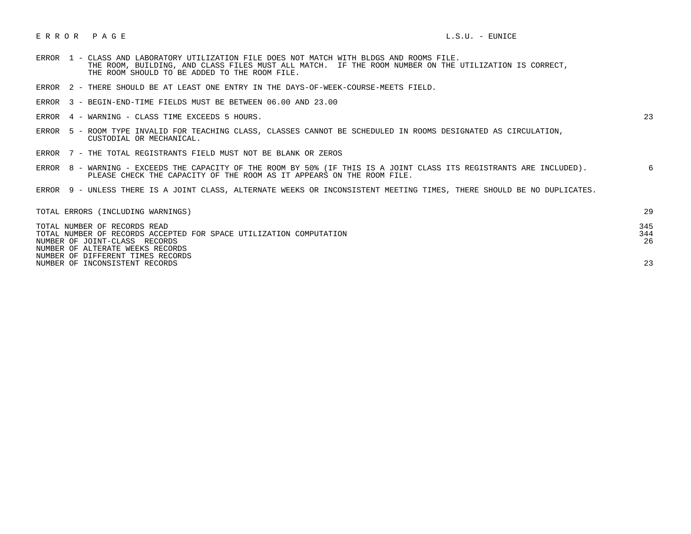## E R R O R P A G E L.S.U. - EUNICE

- ERROR 1 CLASS AND LABORATORY UTILIZATION FILE DOES NOT MATCH WITH BLDGS AND ROOMS FILE. THE ROOM, BUILDING, AND CLASS FILES MUST ALL MATCH. IF THE ROOM NUMBER ON THE UTILIZATION IS CORRECT, THE ROOM SHOULD TO BE ADDED TO THE ROOM FILE.
- ERROR 2 THERE SHOULD BE AT LEAST ONE ENTRY IN THE DAYS-OF-WEEK-COURSE-MEETS FIELD.
- ERROR 3 BEGIN-END-TIME FIELDS MUST BE BETWEEN 06.00 AND 23.00
- ERROR 4 WARNING CLASS TIME EXCEEDS 5 HOURS. 23

- ERROR 5 ROOM TYPE INVALID FOR TEACHING CLASS, CLASSES CANNOT BE SCHEDULED IN ROOMS DESIGNATED AS CIRCULATION, CUSTODIAL OR MECHANICAL.
- ERROR 7 THE TOTAL REGISTRANTS FIELD MUST NOT BE BLANK OR ZEROS
- ERROR 8 WARNING EXCEEDS THE CAPACITY OF THE ROOM BY 50% (IF THIS IS A JOINT CLASS ITS REGISTRANTS ARE INCLUDED). 6 PLEASE CHECK THE CAPACITY OF THE ROOM AS IT APPEARS ON THE ROOM FILE.
- ERROR 9 UNLESS THERE IS A JOINT CLASS, ALTERNATE WEEKS OR INCONSISTENT MEETING TIMES, THERE SHOULD BE NO DUPLICATES.

| TOTAL ERRORS (INCLUDING WARNINGS)                                  | 29  |
|--------------------------------------------------------------------|-----|
| TOTAL NUMBER OF RECORDS READ                                       | 345 |
| TOTAL NUMBER OF RECORDS ACCEPTED FOR SPACE UTILIZATION COMPUTATION | 344 |
| NUMBER OF JOINT-CLASS RECORDS                                      | 26  |
| NUMBER OF ALTERATE WEEKS RECORDS                                   |     |
| NUMBER OF DIFFERENT TIMES RECORDS                                  |     |
| NUMBER OF INCONSISTENT RECORDS                                     | つつ  |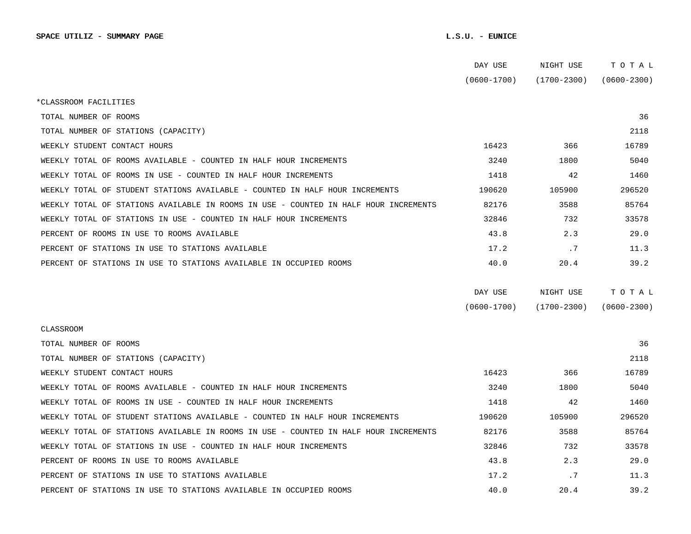|                                                                                      | DAY USE         | NIGHT USE       | TOTAL           |  |
|--------------------------------------------------------------------------------------|-----------------|-----------------|-----------------|--|
|                                                                                      | $(0600 - 1700)$ | (1700-2300)     | $(0600 - 2300)$ |  |
| *CLASSROOM FACILITIES                                                                |                 |                 |                 |  |
| TOTAL NUMBER OF ROOMS                                                                |                 |                 | 36              |  |
| TOTAL NUMBER OF STATIONS (CAPACITY)                                                  |                 |                 | 2118            |  |
| WEEKLY STUDENT CONTACT HOURS                                                         | 16423           | 366             | 16789           |  |
| WEEKLY TOTAL OF ROOMS AVAILABLE - COUNTED IN HALF HOUR INCREMENTS                    | 3240            | 1800            | 5040            |  |
| WEEKLY TOTAL OF ROOMS IN USE - COUNTED IN HALF HOUR INCREMENTS                       | 1418            | 42              | 1460            |  |
| WEEKLY TOTAL OF STUDENT STATIONS AVAILABLE - COUNTED IN HALF HOUR INCREMENTS         | 190620          | 105900          | 296520          |  |
| WEEKLY TOTAL OF STATIONS AVAILABLE IN ROOMS IN USE - COUNTED IN HALF HOUR INCREMENTS | 82176           | 3588            | 85764           |  |
| WEEKLY TOTAL OF STATIONS IN USE - COUNTED IN HALF HOUR INCREMENTS                    | 32846           | 732             | 33578           |  |
| PERCENT OF ROOMS IN USE TO ROOMS AVAILABLE                                           | 43.8            | 2.3             | 29.0            |  |
| PERCENT OF STATIONS IN USE TO STATIONS AVAILABLE                                     | 17.2            | .7              | 11.3            |  |
| PERCENT OF STATIONS IN USE TO STATIONS AVAILABLE IN OCCUPIED ROOMS                   | 40.0            | 20.4            | 39.2            |  |
|                                                                                      |                 |                 |                 |  |
|                                                                                      | DAY USE         | NIGHT USE       | тотаь           |  |
|                                                                                      | $(0600 - 1700)$ | $(1700 - 2300)$ | $(0600 - 2300)$ |  |
| CLASSROOM                                                                            |                 |                 |                 |  |
| TOTAL NUMBER OF ROOMS                                                                |                 |                 | 36              |  |
| TOTAL NUMBER OF STATIONS (CAPACITY)                                                  |                 |                 | 2118            |  |
| WEEKLY STUDENT CONTACT HOURS                                                         | 16423           | 366             | 16789           |  |
| WEEKLY TOTAL OF ROOMS AVAILABLE - COUNTED IN HALF HOUR INCREMENTS                    | 3240            | 1800            | 5040            |  |
| WEEKLY TOTAL OF ROOMS IN USE - COUNTED IN HALF HOUR INCREMENTS                       | 1418            | 42              | 1460            |  |
| WEEKLY TOTAL OF STUDENT STATIONS AVAILABLE - COUNTED IN HALF HOUR INCREMENTS         | 190620          | 105900          | 296520          |  |
| WEEKLY TOTAL OF STATIONS AVAILABLE IN ROOMS IN USE - COUNTED IN HALF HOUR INCREMENTS | 82176           | 3588            | 85764           |  |
| WEEKLY TOTAL OF STATIONS IN USE - COUNTED IN HALF HOUR INCREMENTS                    |                 |                 |                 |  |
|                                                                                      | 32846           | 732             | 33578           |  |
| PERCENT OF ROOMS IN USE TO ROOMS AVAILABLE                                           | 43.8            | 2.3             | 29.0            |  |
| PERCENT OF STATIONS IN USE TO STATIONS AVAILABLE                                     | 17.2            | .7              | 11.3            |  |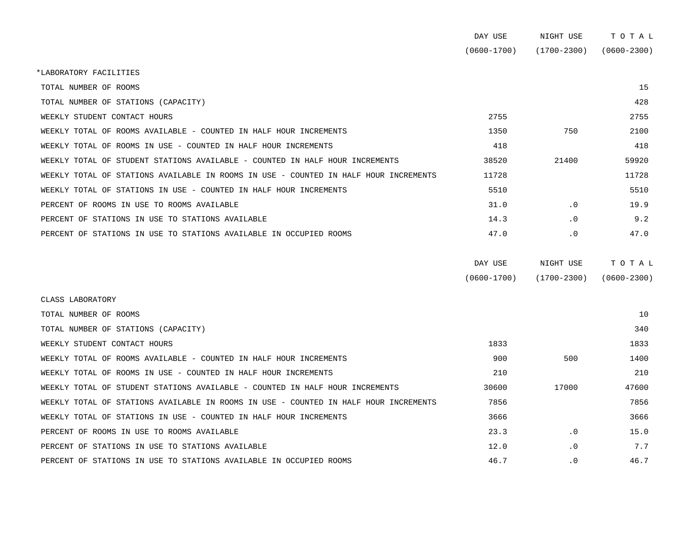|                                                                                      | DAY USE         | NIGHT USE       | TOTAL           |
|--------------------------------------------------------------------------------------|-----------------|-----------------|-----------------|
|                                                                                      | $(0600 - 1700)$ | $(1700 - 2300)$ | $(0600 - 2300)$ |
| *LABORATORY FACILITIES                                                               |                 |                 |                 |
| TOTAL NUMBER OF ROOMS                                                                |                 |                 | 15              |
| TOTAL NUMBER OF STATIONS (CAPACITY)                                                  |                 |                 | 428             |
| WEEKLY STUDENT CONTACT HOURS                                                         | 2755            |                 | 2755            |
| WEEKLY TOTAL OF ROOMS AVAILABLE - COUNTED IN HALF HOUR INCREMENTS                    | 1350            | 750             | 2100            |
| WEEKLY TOTAL OF ROOMS IN USE - COUNTED IN HALF HOUR INCREMENTS                       | 418             |                 | 418             |
| WEEKLY TOTAL OF STUDENT STATIONS AVAILABLE - COUNTED IN HALF HOUR INCREMENTS         | 38520           | 21400           | 59920           |
| WEEKLY TOTAL OF STATIONS AVAILABLE IN ROOMS IN USE - COUNTED IN HALF HOUR INCREMENTS | 11728           |                 | 11728           |
| WEEKLY TOTAL OF STATIONS IN USE - COUNTED IN HALF HOUR INCREMENTS                    | 5510            |                 | 5510            |
| PERCENT OF ROOMS IN USE TO ROOMS AVAILABLE                                           | 31.0            | .0              | 19.9            |
| PERCENT OF STATIONS IN USE TO STATIONS AVAILABLE                                     | 14.3            | $\cdot$ 0       | 9.2             |
| PERCENT OF STATIONS IN USE TO STATIONS AVAILABLE IN OCCUPIED ROOMS                   | 47.0            | $\cdot$ 0       | 47.0            |
|                                                                                      |                 |                 |                 |
|                                                                                      | DAY USE         | NIGHT USE       | TOTAL           |
|                                                                                      | $(0600 - 1700)$ | $(1700 - 2300)$ | $(0600 - 2300)$ |
|                                                                                      |                 |                 |                 |

TOTAL NUMBER OF ROOMS 10 TOTAL NUMBER OF STATIONS (CAPACITY) 340 WEEKLY STUDENT CONTACT HOURS 1833 2007 1833 2008 1833 2008 1833 2009 1833 2009 1833 2009 1833 2009 1833 2009 1833 2009 1833 2009 1833 2009 1833 2009 1833 2009 1833 2009 1839 2009 1839 2009 1839 2009 1839 2009 1839 2009 183 WEEKLY TOTAL OF ROOMS AVAILABLE - COUNTED IN HALF HOUR INCREMENTS 600 500 500 500 500 500 1400 WEEKLY TOTAL OF ROOMS IN USE - COUNTED IN HALF HOUR INCREMENTS 210 210 WEEKLY TOTAL OF STUDENT STATIONS AVAILABLE - COUNTED IN HALF HOUR INCREMENTS  $30600$  17000  $47600$ WEEKLY TOTAL OF STATIONS AVAILABLE IN ROOMS IN USE - COUNTED IN HALF HOUR INCREMENTS 7856 7856 WEEKLY TOTAL OF STATIONS IN USE - COUNTED IN HALF HOUR INCREMENTS 3656 3666 3666 3666 PERCENT OF ROOMS IN USE TO ROOMS AVAILABLE **15.0** 23.3 1 0 15.0 15.0 PERCENT OF STATIONS IN USE TO STATIONS AVAILABLE  $12.0$  0  $1$ ,  $7.7$ PERCENT OF STATIONS IN USE TO STATIONS AVAILABLE IN OCCUPIED ROOMS 46.7 46.7 0 46.7

CLASS LABORATORY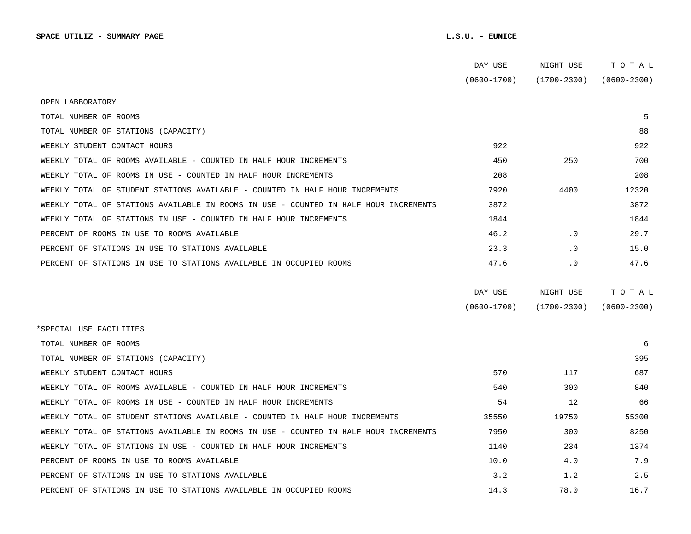|                                                                                      | DAY USE         | NIGHT USE       | TOTAL           |  |
|--------------------------------------------------------------------------------------|-----------------|-----------------|-----------------|--|
|                                                                                      | $(0600 - 1700)$ | $(1700 - 2300)$ | $(0600 - 2300)$ |  |
| OPEN LABBORATORY                                                                     |                 |                 |                 |  |
| TOTAL NUMBER OF ROOMS                                                                |                 |                 | 5               |  |
| TOTAL NUMBER OF STATIONS (CAPACITY)                                                  |                 |                 | 88              |  |
| WEEKLY STUDENT CONTACT HOURS                                                         | 922             |                 | 922             |  |
| WEEKLY TOTAL OF ROOMS AVAILABLE - COUNTED IN HALF HOUR INCREMENTS                    | 450             | 250             | 700             |  |
| WEEKLY TOTAL OF ROOMS IN USE - COUNTED IN HALF HOUR INCREMENTS                       | 208             |                 | 208             |  |
| WEEKLY TOTAL OF STUDENT STATIONS AVAILABLE - COUNTED IN HALF HOUR INCREMENTS         | 7920            | 4400            | 12320           |  |
| WEEKLY TOTAL OF STATIONS AVAILABLE IN ROOMS IN USE - COUNTED IN HALF HOUR INCREMENTS | 3872            |                 | 3872            |  |
| WEEKLY TOTAL OF STATIONS IN USE - COUNTED IN HALF HOUR INCREMENTS                    | 1844            |                 | 1844            |  |
| PERCENT OF ROOMS IN USE TO ROOMS AVAILABLE                                           | 46.2            | $\cdot$ 0       | 29.7            |  |
| PERCENT OF STATIONS IN USE TO STATIONS AVAILABLE                                     | 23.3            | $\cdot$ 0       | 15.0            |  |
| PERCENT OF STATIONS IN USE TO STATIONS AVAILABLE IN OCCUPIED ROOMS                   | 47.6            | $\cdot$ 0       | 47.6            |  |
|                                                                                      | DAY USE         | NIGHT USE       | TOTAL           |  |
|                                                                                      | $(0600 - 1700)$ | $(1700 - 2300)$ | $(0600 - 2300)$ |  |
| *SPECIAL USE FACILITIES                                                              |                 |                 |                 |  |
| TOTAL NUMBER OF ROOMS                                                                |                 |                 | 6               |  |
| TOTAL NUMBER OF STATIONS (CAPACITY)                                                  |                 |                 | 395             |  |
| WEEKLY STUDENT CONTACT HOURS                                                         | 570             | 117             | 687             |  |
| WEEKLY TOTAL OF ROOMS AVAILABLE - COUNTED IN HALF HOUR INCREMENTS                    | 540             | 300             | 840             |  |
| WEEKLY TOTAL OF ROOMS IN USE - COUNTED IN HALF HOUR INCREMENTS                       | 54              | 12              | 66              |  |
| WEEKLY TOTAL OF STUDENT STATIONS AVAILABLE - COUNTED IN HALF HOUR INCREMENTS         | 35550           | 19750           | 55300           |  |
| WEEKLY TOTAL OF STATIONS AVAILABLE IN ROOMS IN USE - COUNTED IN HALF HOUR INCREMENTS | 7950            | 300             | 8250            |  |
| WEEKLY TOTAL OF STATIONS IN USE - COUNTED IN HALF HOUR INCREMENTS                    | 1140            | 234             | 1374            |  |
| PERCENT OF ROOMS IN USE TO ROOMS AVAILABLE                                           | 10.0            | 4.0             | 7.9             |  |
| PERCENT OF STATIONS IN USE TO STATIONS AVAILABLE                                     | 3.2             | 1.2             | 2.5             |  |
| PERCENT OF STATIONS IN USE TO STATIONS AVAILABLE IN OCCUPIED ROOMS                   | 14.3            | 78.0            | 16.7            |  |